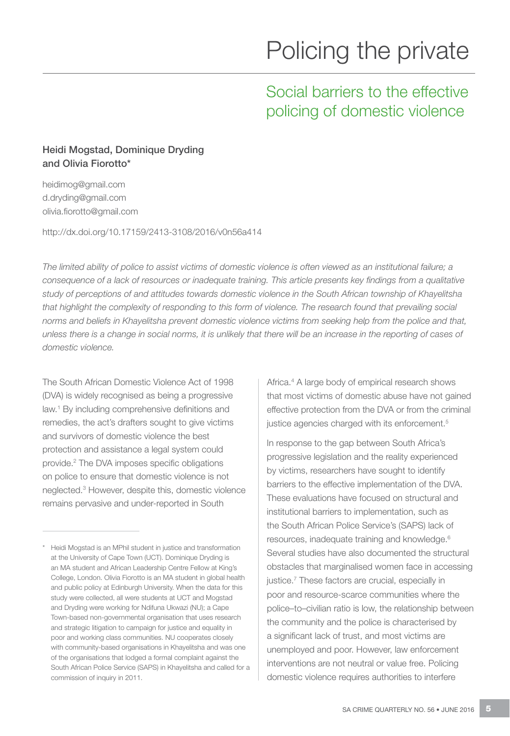# Policing the private

# Social barriers to the effective policing of domestic violence

# Heidi Mogstad, Dominique Dryding and Olivia Fiorotto\*

heidimog@gmail.com d.dryding@gmail.com olivia.fiorotto@gmail.com

http://dx.doi.org/10.17159/2413-3108/2016/v0n56a414

*The limited ability of police to assist victims of domestic violence is often viewed as an institutional failure; a*  consequence of a lack of resources or inadequate training. This article presents key findings from a qualitative *study of perceptions of and attitudes towards domestic violence in the South African township of Khayelitsha*  that highlight the complexity of responding to this form of violence. The research found that prevailing social *norms and beliefs in Khayelitsha prevent domestic violence victims from seeking help from the police and that, unless there is a change in social norms, it is unlikely that there will be an increase in the reporting of cases of domestic violence.*

The South African Domestic Violence Act of 1998 (DVA) is widely recognised as being a progressive law.1 By including comprehensive definitions and remedies, the act's drafters sought to give victims and survivors of domestic violence the best protection and assistance a legal system could provide.2 The DVA imposes specific obligations on police to ensure that domestic violence is not neglected.3 However, despite this, domestic violence remains pervasive and under-reported in South

Africa.4 A large body of empirical research shows that most victims of domestic abuse have not gained effective protection from the DVA or from the criminal justice agencies charged with its enforcement.<sup>5</sup>

In response to the gap between South Africa's progressive legislation and the reality experienced by victims, researchers have sought to identify barriers to the effective implementation of the DVA. These evaluations have focused on structural and institutional barriers to implementation, such as the South African Police Service's (SAPS) lack of resources, inadequate training and knowledge.6 Several studies have also documented the structural obstacles that marginalised women face in accessing justice.<sup>7</sup> These factors are crucial, especially in poor and resource-scarce communities where the police–to–civilian ratio is low, the relationship between the community and the police is characterised by a significant lack of trust, and most victims are unemployed and poor. However, law enforcement interventions are not neutral or value free. Policing domestic violence requires authorities to interfere

<sup>\*</sup> Heidi Mogstad is an MPhil student in justice and transformation at the University of Cape Town (UCT). Dominique Dryding is an MA student and African Leadership Centre Fellow at King's College, London. Olivia Fiorotto is an MA student in global health and public policy at Edinburgh University. When the data for this study were collected, all were students at UCT and Mogstad and Dryding were working for Ndifuna Ukwazi (NU); a Cape Town-based non-governmental organisation that uses research and strategic litigation to campaign for justice and equality in poor and working class communities. NU cooperates closely with community-based organisations in Khayelitsha and was one of the organisations that lodged a formal complaint against the South African Police Service (SAPS) in Khayelitsha and called for a commission of inquiry in 2011.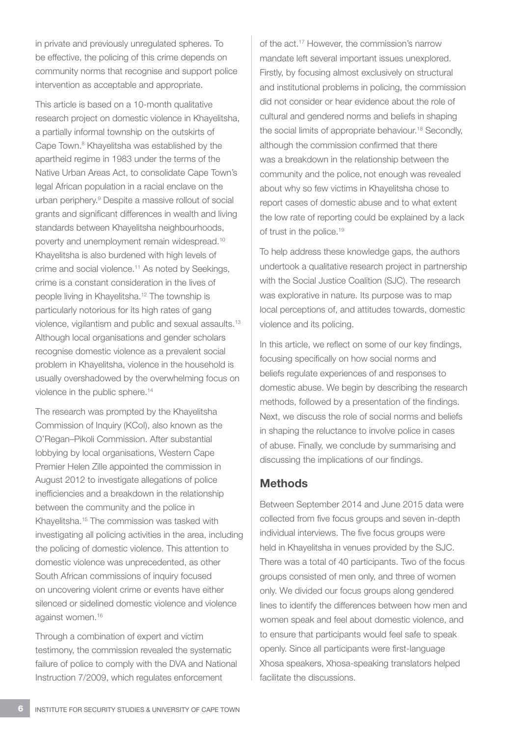in private and previously unregulated spheres. To be effective, the policing of this crime depends on community norms that recognise and support police intervention as acceptable and appropriate.

This article is based on a 10-month qualitative research project on domestic violence in Khayelitsha, a partially informal township on the outskirts of Cape Town.8 Khayelitsha was established by the apartheid regime in 1983 under the terms of the Native Urban Areas Act, to consolidate Cape Town's legal African population in a racial enclave on the urban periphery.9 Despite a massive rollout of social grants and significant differences in wealth and living standards between Khayelitsha neighbourhoods, poverty and unemployment remain widespread.10 Khayelitsha is also burdened with high levels of crime and social violence.11 As noted by Seekings, crime is a constant consideration in the lives of people living in Khayelitsha.12 The township is particularly notorious for its high rates of gang violence, vigilantism and public and sexual assaults.13 Although local organisations and gender scholars recognise domestic violence as a prevalent social problem in Khayelitsha, violence in the household is usually overshadowed by the overwhelming focus on violence in the public sphere.<sup>14</sup>

The research was prompted by the Khayelitsha Commission of Inquiry (KCoI), also known as the O'Regan–Pikoli Commission. After substantial lobbying by local organisations, Western Cape Premier Helen Zille appointed the commission in August 2012 to investigate allegations of police inefficiencies and a breakdown in the relationship between the community and the police in Khayelitsha.15 The commission was tasked with investigating all policing activities in the area, including the policing of domestic violence. This attention to domestic violence was unprecedented, as other South African commissions of inquiry focused on uncovering violent crime or events have either silenced or sidelined domestic violence and violence against women.16

Through a combination of expert and victim testimony, the commission revealed the systematic failure of police to comply with the DVA and National Instruction 7/2009, which regulates enforcement

of the act.17 However, the commission's narrow mandate left several important issues unexplored. Firstly, by focusing almost exclusively on structural and institutional problems in policing, the commission did not consider or hear evidence about the role of cultural and gendered norms and beliefs in shaping the social limits of appropriate behaviour.<sup>18</sup> Secondly, although the commission confirmed that there was a breakdown in the relationship between the community and the police, not enough was revealed about why so few victims in Khayelitsha chose to report cases of domestic abuse and to what extent the low rate of reporting could be explained by a lack of trust in the police.<sup>19</sup>

To help address these knowledge gaps, the authors undertook a qualitative research project in partnership with the Social Justice Coalition (SJC). The research was explorative in nature. Its purpose was to map local perceptions of, and attitudes towards, domestic violence and its policing.

In this article, we reflect on some of our key findings, focusing specifically on how social norms and beliefs regulate experiences of and responses to domestic abuse. We begin by describing the research methods, followed by a presentation of the findings. Next, we discuss the role of social norms and beliefs in shaping the reluctance to involve police in cases of abuse. Finally, we conclude by summarising and discussing the implications of our findings.

# **Methods**

Between September 2014 and June 2015 data were collected from five focus groups and seven in-depth individual interviews. The five focus groups were held in Khayelitsha in venues provided by the SJC. There was a total of 40 participants. Two of the focus groups consisted of men only, and three of women only. We divided our focus groups along gendered lines to identify the differences between how men and women speak and feel about domestic violence, and to ensure that participants would feel safe to speak openly. Since all participants were first-language Xhosa speakers, Xhosa-speaking translators helped facilitate the discussions.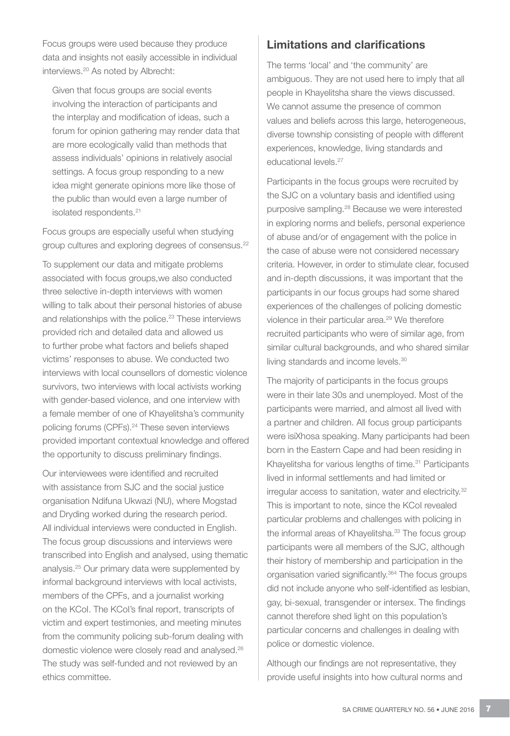Focus groups were used because they produce data and insights not easily accessible in individual interviews.20 As noted by Albrecht:

Given that focus groups are social events involving the interaction of participants and the interplay and modification of ideas, such a forum for opinion gathering may render data that are more ecologically valid than methods that assess individuals' opinions in relatively asocial settings. A focus group responding to a new idea might generate opinions more like those of the public than would even a large number of isolated respondents.<sup>21</sup>

Focus groups are especially useful when studying group cultures and exploring degrees of consensus.<sup>22</sup>

To supplement our data and mitigate problems associated with focus groups,we also conducted three selective in-depth interviews with women willing to talk about their personal histories of abuse and relationships with the police.<sup>23</sup> These interviews provided rich and detailed data and allowed us to further probe what factors and beliefs shaped victims' responses to abuse. We conducted two interviews with local counsellors of domestic violence survivors, two interviews with local activists working with gender-based violence, and one interview with a female member of one of Khayelitsha's community policing forums (CPFs).<sup>24</sup> These seven interviews provided important contextual knowledge and offered the opportunity to discuss preliminary findings.

Our interviewees were identified and recruited with assistance from SJC and the social justice organisation Ndifuna Ukwazi (NU), where Mogstad and Dryding worked during the research period. All individual interviews were conducted in English. The focus group discussions and interviews were transcribed into English and analysed, using thematic analysis.25 Our primary data were supplemented by informal background interviews with local activists, members of the CPFs, and a journalist working on the KCoI. The KCoI's final report, transcripts of victim and expert testimonies, and meeting minutes from the community policing sub-forum dealing with domestic violence were closely read and analysed.26 The study was self-funded and not reviewed by an ethics committee.

# Limitations and clarifications

The terms 'local' and 'the community' are ambiguous. They are not used here to imply that all people in Khayelitsha share the views discussed. We cannot assume the presence of common values and beliefs across this large, heterogeneous, diverse township consisting of people with different experiences, knowledge, living standards and educational levels.<sup>27</sup>

Participants in the focus groups were recruited by the SJC on a voluntary basis and identified using purposive sampling.28 Because we were interested in exploring norms and beliefs, personal experience of abuse and/or of engagement with the police in the case of abuse were not considered necessary criteria. However, in order to stimulate clear, focused and in-depth discussions, it was important that the participants in our focus groups had some shared experiences of the challenges of policing domestic violence in their particular area.<sup>29</sup> We therefore recruited participants who were of similar age, from similar cultural backgrounds, and who shared similar living standards and income levels.<sup>30</sup>

The majority of participants in the focus groups were in their late 30s and unemployed. Most of the participants were married, and almost all lived with a partner and children. All focus group participants were isiXhosa speaking. Many participants had been born in the Eastern Cape and had been residing in Khayelitsha for various lengths of time.<sup>31</sup> Participants lived in informal settlements and had limited or irregular access to sanitation, water and electricity.<sup>32</sup> This is important to note, since the KCoI revealed particular problems and challenges with policing in the informal areas of Khayelitsha.<sup>33</sup> The focus group participants were all members of the SJC, although their history of membership and participation in the organisation varied significantly.<sup>364</sup> The focus groups did not include anyone who self-identified as lesbian, gay, bi-sexual, transgender or intersex. The findings cannot therefore shed light on this population's particular concerns and challenges in dealing with police or domestic violence.

Although our findings are not representative, they provide useful insights into how cultural norms and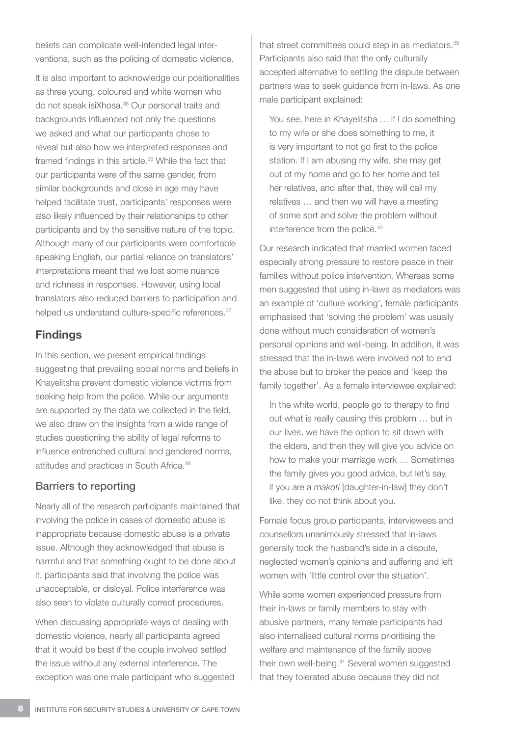beliefs can complicate well-intended legal interventions, such as the policing of domestic violence.

It is also important to acknowledge our positionalities as three young, coloured and white women who do not speak isiXhosa.35 Our personal traits and backgrounds influenced not only the questions we asked and what our participants chose to reveal but also how we interpreted responses and framed findings in this article.36 While the fact that our participants were of the same gender, from similar backgrounds and close in age may have helped facilitate trust, participants' responses were also likely influenced by their relationships to other participants and by the sensitive nature of the topic. Although many of our participants were comfortable speaking English, our partial reliance on translators' interpretations meant that we lost some nuance and richness in responses. However, using local translators also reduced barriers to participation and helped us understand culture-specific references.<sup>37</sup>

# Findings

In this section, we present empirical findings suggesting that prevailing social norms and beliefs in Khayelitsha prevent domestic violence victims from seeking help from the police. While our arguments are supported by the data we collected in the field, we also draw on the insights from a wide range of studies questioning the ability of legal reforms to influence entrenched cultural and gendered norms, attitudes and practices in South Africa.38

#### Barriers to reporting

Nearly all of the research participants maintained that involving the police in cases of domestic abuse is inappropriate because domestic abuse is a private issue. Although they acknowledged that abuse is harmful and that something ought to be done about it, participants said that involving the police was unacceptable, or disloyal. Police interference was also seen to violate culturally correct procedures.

When discussing appropriate ways of dealing with domestic violence, nearly all participants agreed that it would be best if the couple involved settled the issue without any external interference. The exception was one male participant who suggested

that street committees could step in as mediators.<sup>39</sup> Participants also said that the only culturally accepted alternative to settling the dispute between partners was to seek guidance from in-laws. As one male participant explained:

You see, here in Khayelitsha … if I do something to my wife or she does something to me, it is very important to not go first to the police station. If I am abusing my wife, she may get out of my home and go to her home and tell her relatives, and after that, they will call my relatives … and then we will have a meeting of some sort and solve the problem without interference from the police.40

Our research indicated that married women faced especially strong pressure to restore peace in their families without police intervention. Whereas some men suggested that using in-laws as mediators was an example of 'culture working', female participants emphasised that 'solving the problem' was usually done without much consideration of women's personal opinions and well-being. In addition, it was stressed that the in-laws were involved not to end the abuse but to broker the peace and 'keep the family together'. As a female interviewee explained:

In the white world, people go to therapy to find out what is really causing this problem … but in our lives, we have the option to sit down with the elders, and then they will give you advice on how to make your marriage work … Sometimes the family gives you good advice, but let's say, if you are a *makoti* [daughter-in-law] they don't like, they do not think about you.

Female focus group participants, interviewees and counsellors unanimously stressed that in-laws generally took the husband's side in a dispute, neglected women's opinions and suffering and left women with 'little control over the situation'.

While some women experienced pressure from their in-laws or family members to stay with abusive partners, many female participants had also internalised cultural norms prioritising the welfare and maintenance of the family above their own well-being.41 Several women suggested that they tolerated abuse because they did not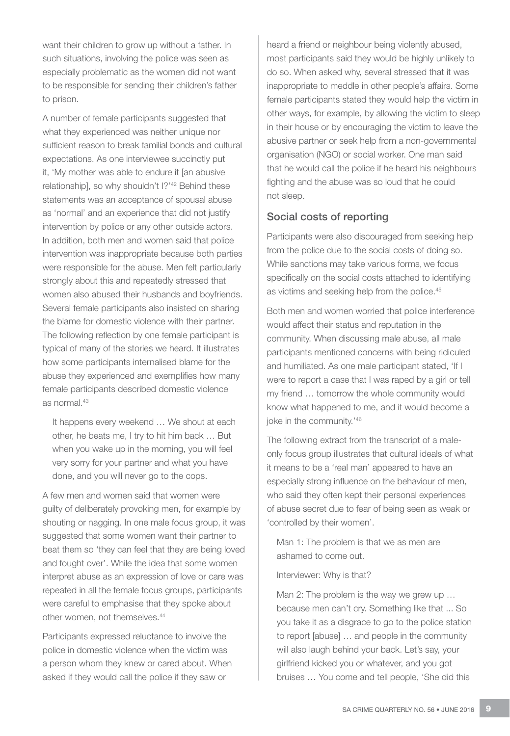want their children to grow up without a father. In such situations, involving the police was seen as especially problematic as the women did not want to be responsible for sending their children's father to prison.

A number of female participants suggested that what they experienced was neither unique nor sufficient reason to break familial bonds and cultural expectations. As one interviewee succinctly put it, 'My mother was able to endure it [an abusive relationship], so why shouldn't I?'<sup>42</sup> Behind these statements was an acceptance of spousal abuse as 'normal' and an experience that did not justify intervention by police or any other outside actors. In addition, both men and women said that police intervention was inappropriate because both parties were responsible for the abuse. Men felt particularly strongly about this and repeatedly stressed that women also abused their husbands and boyfriends. Several female participants also insisted on sharing the blame for domestic violence with their partner. The following reflection by one female participant is typical of many of the stories we heard. It illustrates how some participants internalised blame for the abuse they experienced and exemplifies how many female participants described domestic violence as normal.43

It happens every weekend … We shout at each other, he beats me, I try to hit him back … But when you wake up in the morning, you will feel very sorry for your partner and what you have done, and you will never go to the cops.

A few men and women said that women were guilty of deliberately provoking men, for example by shouting or nagging. In one male focus group, it was suggested that some women want their partner to beat them so 'they can feel that they are being loved and fought over'. While the idea that some women interpret abuse as an expression of love or care was repeated in all the female focus groups, participants were careful to emphasise that they spoke about other women, not themselves.<sup>44</sup>

Participants expressed reluctance to involve the police in domestic violence when the victim was a person whom they knew or cared about. When asked if they would call the police if they saw or

heard a friend or neighbour being violently abused, most participants said they would be highly unlikely to do so. When asked why, several stressed that it was inappropriate to meddle in other people's affairs. Some female participants stated they would help the victim in other ways, for example, by allowing the victim to sleep in their house or by encouraging the victim to leave the abusive partner or seek help from a non-governmental organisation (NGO) or social worker. One man said that he would call the police if he heard his neighbours fighting and the abuse was so loud that he could not sleep.

#### Social costs of reporting

Participants were also discouraged from seeking help from the police due to the social costs of doing so. While sanctions may take various forms, we focus specifically on the social costs attached to identifying as victims and seeking help from the police.45

Both men and women worried that police interference would affect their status and reputation in the community. When discussing male abuse, all male participants mentioned concerns with being ridiculed and humiliated. As one male participant stated, 'If I were to report a case that I was raped by a girl or tell my friend … tomorrow the whole community would know what happened to me, and it would become a joke in the community.'46

The following extract from the transcript of a maleonly focus group illustrates that cultural ideals of what it means to be a 'real man' appeared to have an especially strong influence on the behaviour of men, who said they often kept their personal experiences of abuse secret due to fear of being seen as weak or 'controlled by their women'.

Man 1: The problem is that we as men are ashamed to come out.

Interviewer: Why is that?

Man 2: The problem is the way we grew up … because men can't cry. Something like that ... So you take it as a disgrace to go to the police station to report [abuse] … and people in the community will also laugh behind your back. Let's say, your girlfriend kicked you or whatever, and you got bruises … You come and tell people, 'She did this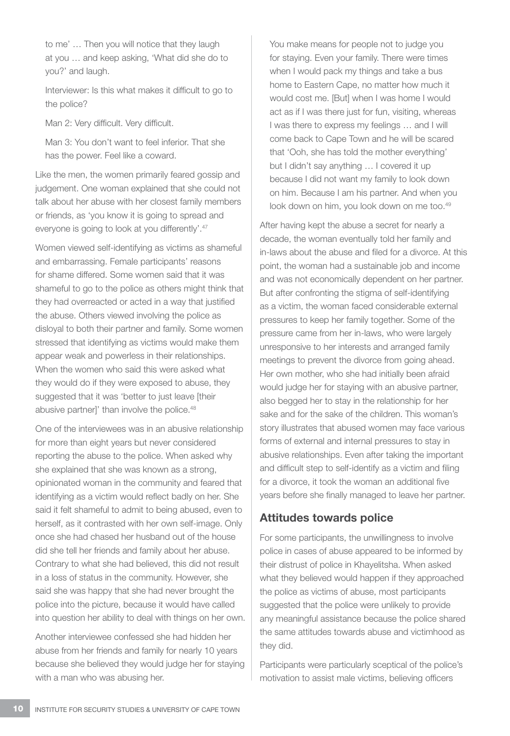to me' … Then you will notice that they laugh at you … and keep asking, 'What did she do to you?' and laugh.

Interviewer: Is this what makes it difficult to go to the police?

Man 2: Very difficult. Very difficult.

Man 3: You don't want to feel inferior. That she has the power. Feel like a coward.

Like the men, the women primarily feared gossip and judgement. One woman explained that she could not talk about her abuse with her closest family members or friends, as 'you know it is going to spread and everyone is going to look at you differently'.47

Women viewed self-identifying as victims as shameful and embarrassing. Female participants' reasons for shame differed. Some women said that it was shameful to go to the police as others might think that they had overreacted or acted in a way that justified the abuse. Others viewed involving the police as disloyal to both their partner and family. Some women stressed that identifying as victims would make them appear weak and powerless in their relationships. When the women who said this were asked what they would do if they were exposed to abuse, they suggested that it was 'better to just leave [their abusive partner]' than involve the police.<sup>48</sup>

One of the interviewees was in an abusive relationship for more than eight years but never considered reporting the abuse to the police. When asked why she explained that she was known as a strong, opinionated woman in the community and feared that identifying as a victim would reflect badly on her. She said it felt shameful to admit to being abused, even to herself, as it contrasted with her own self-image. Only once she had chased her husband out of the house did she tell her friends and family about her abuse. Contrary to what she had believed, this did not result in a loss of status in the community. However, she said she was happy that she had never brought the police into the picture, because it would have called into question her ability to deal with things on her own.

Another interviewee confessed she had hidden her abuse from her friends and family for nearly 10 years because she believed they would judge her for staying with a man who was abusing her.

You make means for people not to judge you for staying. Even your family. There were times when I would pack my things and take a bus home to Eastern Cape, no matter how much it would cost me. [But] when I was home I would act as if I was there just for fun, visiting, whereas I was there to express my feelings … and I will come back to Cape Town and he will be scared that 'Ooh, she has told the mother everything' but I didn't say anything … I covered it up because I did not want my family to look down on him. Because I am his partner. And when you look down on him, you look down on me too.<sup>49</sup>

After having kept the abuse a secret for nearly a decade, the woman eventually told her family and in-laws about the abuse and filed for a divorce. At this point, the woman had a sustainable job and income and was not economically dependent on her partner. But after confronting the stigma of self-identifying as a victim, the woman faced considerable external pressures to keep her family together. Some of the pressure came from her in-laws, who were largely unresponsive to her interests and arranged family meetings to prevent the divorce from going ahead. Her own mother, who she had initially been afraid would judge her for staying with an abusive partner, also begged her to stay in the relationship for her sake and for the sake of the children. This woman's story illustrates that abused women may face various forms of external and internal pressures to stay in abusive relationships. Even after taking the important and difficult step to self-identify as a victim and filing for a divorce, it took the woman an additional five years before she finally managed to leave her partner.

# Attitudes towards police

For some participants, the unwillingness to involve police in cases of abuse appeared to be informed by their distrust of police in Khayelitsha. When asked what they believed would happen if they approached the police as victims of abuse, most participants suggested that the police were unlikely to provide any meaningful assistance because the police shared the same attitudes towards abuse and victimhood as they did.

Participants were particularly sceptical of the police's motivation to assist male victims, believing officers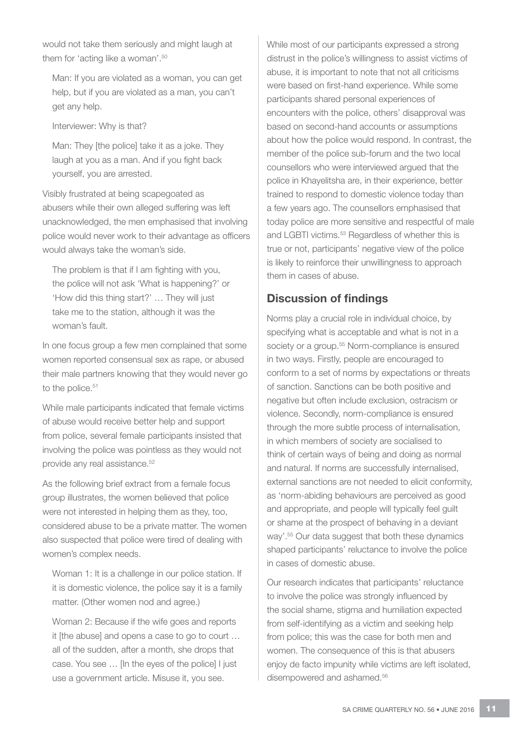would not take them seriously and might laugh at them for 'acting like a woman'.<sup>50</sup>

Man: If you are violated as a woman, you can get help, but if you are violated as a man, you can't get any help.

Interviewer: Why is that?

Man: They [the police] take it as a joke. They laugh at you as a man. And if you fight back yourself, you are arrested.

Visibly frustrated at being scapegoated as abusers while their own alleged suffering was left unacknowledged, the men emphasised that involving police would never work to their advantage as officers would always take the woman's side.

The problem is that if I am fighting with you, the police will not ask 'What is happening?' or 'How did this thing start?' … They will just take me to the station, although it was the woman's fault.

In one focus group a few men complained that some women reported consensual sex as rape, or abused their male partners knowing that they would never go to the police.<sup>51</sup>

While male participants indicated that female victims of abuse would receive better help and support from police, several female participants insisted that involving the police was pointless as they would not provide any real assistance.<sup>52</sup>

As the following brief extract from a female focus group illustrates, the women believed that police were not interested in helping them as they, too, considered abuse to be a private matter. The women also suspected that police were tired of dealing with women's complex needs.

Woman 1: It is a challenge in our police station. If it is domestic violence, the police say it is a family matter. (Other women nod and agree.)

Woman 2: Because if the wife goes and reports it [the abuse] and opens a case to go to court … all of the sudden, after a month, she drops that case. You see … [In the eyes of the police] I just use a government article. Misuse it, you see.

While most of our participants expressed a strong distrust in the police's willingness to assist victims of abuse, it is important to note that not all criticisms were based on first-hand experience. While some participants shared personal experiences of encounters with the police, others' disapproval was based on second-hand accounts or assumptions about how the police would respond. In contrast, the member of the police sub-forum and the two local counsellors who were interviewed argued that the police in Khayelitsha are, in their experience, better trained to respond to domestic violence today than a few years ago. The counsellors emphasised that today police are more sensitive and respectful of male and LGBTI victims.<sup>53</sup> Regardless of whether this is true or not, participants' negative view of the police is likely to reinforce their unwillingness to approach them in cases of abuse.

# Discussion of findings

Norms play a crucial role in individual choice, by specifying what is acceptable and what is not in a society or a group.<sup>55</sup> Norm-compliance is ensured in two ways. Firstly, people are encouraged to conform to a set of norms by expectations or threats of sanction. Sanctions can be both positive and negative but often include exclusion, ostracism or violence. Secondly, norm-compliance is ensured through the more subtle process of internalisation, in which members of society are socialised to think of certain ways of being and doing as normal and natural. If norms are successfully internalised, external sanctions are not needed to elicit conformity, as 'norm-abiding behaviours are perceived as good and appropriate, and people will typically feel guilt or shame at the prospect of behaving in a deviant way'.55 Our data suggest that both these dynamics shaped participants' reluctance to involve the police in cases of domestic abuse.

Our research indicates that participants' reluctance to involve the police was strongly influenced by the social shame, stigma and humiliation expected from self-identifying as a victim and seeking help from police; this was the case for both men and women. The consequence of this is that abusers enjoy de facto impunity while victims are left isolated, disempowered and ashamed.<sup>56</sup>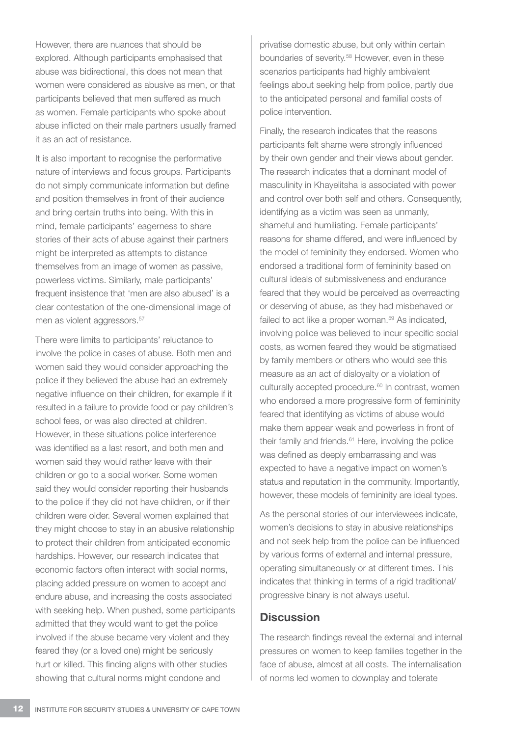However, there are nuances that should be explored. Although participants emphasised that abuse was bidirectional, this does not mean that women were considered as abusive as men, or that participants believed that men suffered as much as women. Female participants who spoke about abuse inflicted on their male partners usually framed it as an act of resistance.

It is also important to recognise the performative nature of interviews and focus groups. Participants do not simply communicate information but define and position themselves in front of their audience and bring certain truths into being. With this in mind, female participants' eagerness to share stories of their acts of abuse against their partners might be interpreted as attempts to distance themselves from an image of women as passive, powerless victims. Similarly, male participants' frequent insistence that 'men are also abused' is a clear contestation of the one-dimensional image of men as violent aggressors.<sup>57</sup>

There were limits to participants' reluctance to involve the police in cases of abuse. Both men and women said they would consider approaching the police if they believed the abuse had an extremely negative influence on their children, for example if it resulted in a failure to provide food or pay children's school fees, or was also directed at children. However, in these situations police interference was identified as a last resort, and both men and women said they would rather leave with their children or go to a social worker. Some women said they would consider reporting their husbands to the police if they did not have children, or if their children were older. Several women explained that they might choose to stay in an abusive relationship to protect their children from anticipated economic hardships. However, our research indicates that economic factors often interact with social norms, placing added pressure on women to accept and endure abuse, and increasing the costs associated with seeking help. When pushed, some participants admitted that they would want to get the police involved if the abuse became very violent and they feared they (or a loved one) might be seriously hurt or killed. This finding aligns with other studies showing that cultural norms might condone and

privatise domestic abuse, but only within certain boundaries of severity.<sup>58</sup> However, even in these scenarios participants had highly ambivalent feelings about seeking help from police, partly due to the anticipated personal and familial costs of police intervention.

Finally, the research indicates that the reasons participants felt shame were strongly influenced by their own gender and their views about gender. The research indicates that a dominant model of masculinity in Khayelitsha is associated with power and control over both self and others. Consequently, identifying as a victim was seen as unmanly, shameful and humiliating. Female participants' reasons for shame differed, and were influenced by the model of femininity they endorsed. Women who endorsed a traditional form of femininity based on cultural ideals of submissiveness and endurance feared that they would be perceived as overreacting or deserving of abuse, as they had misbehaved or failed to act like a proper woman.<sup>59</sup> As indicated, involving police was believed to incur specific social costs, as women feared they would be stigmatised by family members or others who would see this measure as an act of disloyalty or a violation of culturally accepted procedure.<sup>60</sup> In contrast, women who endorsed a more progressive form of femininity feared that identifying as victims of abuse would make them appear weak and powerless in front of their family and friends.<sup>61</sup> Here, involving the police was defined as deeply embarrassing and was expected to have a negative impact on women's status and reputation in the community. Importantly, however, these models of femininity are ideal types.

As the personal stories of our interviewees indicate, women's decisions to stay in abusive relationships and not seek help from the police can be influenced by various forms of external and internal pressure, operating simultaneously or at different times. This indicates that thinking in terms of a rigid traditional/ progressive binary is not always useful.

# **Discussion**

The research findings reveal the external and internal pressures on women to keep families together in the face of abuse, almost at all costs. The internalisation of norms led women to downplay and tolerate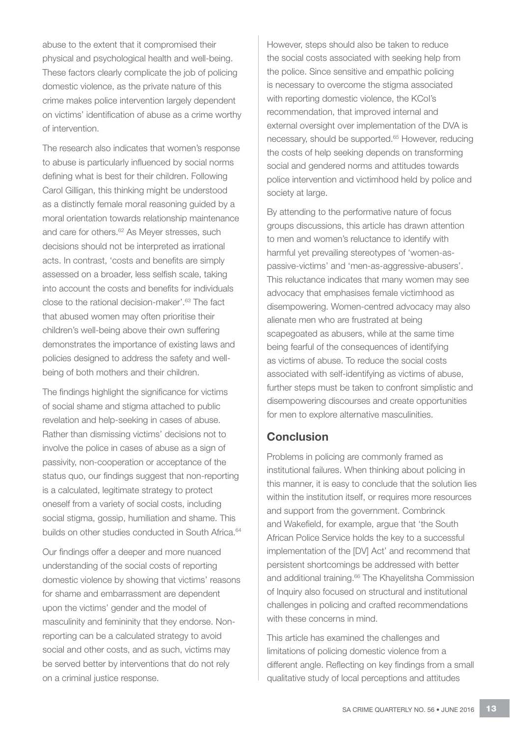abuse to the extent that it compromised their physical and psychological health and well-being. These factors clearly complicate the job of policing domestic violence, as the private nature of this crime makes police intervention largely dependent on victims' identification of abuse as a crime worthy of intervention.

The research also indicates that women's response to abuse is particularly influenced by social norms defining what is best for their children. Following Carol Gilligan, this thinking might be understood as a distinctly female moral reasoning guided by a moral orientation towards relationship maintenance and care for others.<sup>62</sup> As Meyer stresses, such decisions should not be interpreted as irrational acts. In contrast, 'costs and benefits are simply assessed on a broader, less selfish scale, taking into account the costs and benefits for individuals close to the rational decision-maker'.<sup>63</sup> The fact that abused women may often prioritise their children's well-being above their own suffering demonstrates the importance of existing laws and policies designed to address the safety and wellbeing of both mothers and their children.

The findings highlight the significance for victims of social shame and stigma attached to public revelation and help-seeking in cases of abuse. Rather than dismissing victims' decisions not to involve the police in cases of abuse as a sign of passivity, non-cooperation or acceptance of the status quo, our findings suggest that non-reporting is a calculated, legitimate strategy to protect oneself from a variety of social costs, including social stigma, gossip, humiliation and shame. This builds on other studies conducted in South Africa.<sup>64</sup>

Our findings offer a deeper and more nuanced understanding of the social costs of reporting domestic violence by showing that victims' reasons for shame and embarrassment are dependent upon the victims' gender and the model of masculinity and femininity that they endorse. Nonreporting can be a calculated strategy to avoid social and other costs, and as such, victims may be served better by interventions that do not rely on a criminal justice response.

However, steps should also be taken to reduce the social costs associated with seeking help from the police. Since sensitive and empathic policing is necessary to overcome the stigma associated with reporting domestic violence, the KCoI's recommendation, that improved internal and external oversight over implementation of the DVA is necessary, should be supported.<sup>65</sup> However, reducing the costs of help seeking depends on transforming social and gendered norms and attitudes towards police intervention and victimhood held by police and society at large.

By attending to the performative nature of focus groups discussions, this article has drawn attention to men and women's reluctance to identify with harmful yet prevailing stereotypes of 'women-aspassive-victims' and 'men-as-aggressive-abusers'. This reluctance indicates that many women may see advocacy that emphasises female victimhood as disempowering. Women-centred advocacy may also alienate men who are frustrated at being scapegoated as abusers, while at the same time being fearful of the consequences of identifying as victims of abuse. To reduce the social costs associated with self-identifying as victims of abuse, further steps must be taken to confront simplistic and disempowering discourses and create opportunities for men to explore alternative masculinities.

# **Conclusion**

Problems in policing are commonly framed as institutional failures. When thinking about policing in this manner, it is easy to conclude that the solution lies within the institution itself, or requires more resources and support from the government. Combrinck and Wakefield, for example, argue that 'the South African Police Service holds the key to a successful implementation of the [DV] Act' and recommend that persistent shortcomings be addressed with better and additional training.<sup>66</sup> The Khayelitsha Commission of Inquiry also focused on structural and institutional challenges in policing and crafted recommendations with these concerns in mind.

This article has examined the challenges and limitations of policing domestic violence from a different angle. Reflecting on key findings from a small qualitative study of local perceptions and attitudes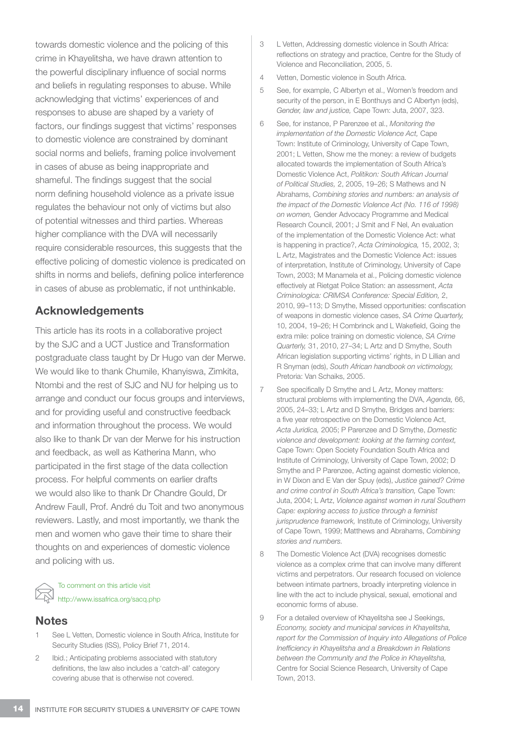towards domestic violence and the policing of this crime in Khayelitsha, we have drawn attention to the powerful disciplinary influence of social norms and beliefs in regulating responses to abuse. While acknowledging that victims' experiences of and responses to abuse are shaped by a variety of factors, our findings suggest that victims' responses to domestic violence are constrained by dominant social norms and beliefs, framing police involvement in cases of abuse as being inappropriate and shameful. The findings suggest that the social norm defining household violence as a private issue regulates the behaviour not only of victims but also of potential witnesses and third parties. Whereas higher compliance with the DVA will necessarily require considerable resources, this suggests that the effective policing of domestic violence is predicated on shifts in norms and beliefs, defining police interference in cases of abuse as problematic, if not unthinkable.

#### Acknowledgements

This article has its roots in a collaborative project by the SJC and a UCT Justice and Transformation postgraduate class taught by Dr Hugo van der Merwe. We would like to thank Chumile, Khanyiswa, Zimkita, Ntombi and the rest of SJC and NU for helping us to arrange and conduct our focus groups and interviews, and for providing useful and constructive feedback and information throughout the process. We would also like to thank Dr van der Merwe for his instruction and feedback, as well as Katherina Mann, who participated in the first stage of the data collection process. For helpful comments on earlier drafts we would also like to thank Dr Chandre Gould, Dr Andrew Faull, Prof. André du Toit and two anonymous reviewers. Lastly, and most importantly, we thank the men and women who gave their time to share their thoughts on and experiences of domestic violence and policing with us.

To comment on this article visit http://www.issafrica.org/sacq.php

#### **Notes**

- See L Vetten, Domestic violence in South Africa, Institute for Security Studies (ISS), Policy Brief 71, 2014.
- 2 Ibid.; Anticipating problems associated with statutory definitions, the law also includes a 'catch-all' category covering abuse that is otherwise not covered.
- 3 L Vetten, Addressing domestic violence in South Africa: reflections on strategy and practice, Centre for the Study of Violence and Reconciliation, 2005, 5.
- 4 Vetten, Domestic violence in South Africa.
- 5 See, for example, C Albertyn et al., Women's freedom and security of the person, in E Bonthuys and C Albertyn (eds), *Gender, law and justice,* Cape Town: Juta, 2007, 323.
- 6 See, for instance, P Parenzee et al., *Monitoring the implementation of the Domestic Violence Act,* Cape Town: Institute of Criminology, University of Cape Town, 2001; L Vetten, Show me the money: a review of budgets allocated towards the implementation of South Africa's Domestic Violence Act, *Politikon: South African Journal of Political Studies,* 2, 2005, 19–26; S Mathews and N Abrahams, *Combining stories and numbers: an analysis of the impact of the Domestic Violence Act (No. 116 of 1998) on women,* Gender Advocacy Programme and Medical Research Council, 2001; J Smit and F Nel, An evaluation of the implementation of the Domestic Violence Act: what is happening in practice?, *Acta Criminologica,* 15, 2002, 3; L Artz, Magistrates and the Domestic Violence Act: issues of interpretation, Institute of Criminology, University of Cape Town, 2003; M Manamela et al., Policing domestic violence effectively at Rietgat Police Station: an assessment, *Acta Criminologica: CRIMSA Conference: Special Edition,* 2, 2010, 99–113; D Smythe, Missed opportunities: confiscation of weapons in domestic violence cases, *SA Crime Quarterly,* 10, 2004, 19–26; H Combrinck and L Wakefield, Going the extra mile: police training on domestic violence, *SA Crime Quarterly,* 31, 2010, 27–34; L Artz and D Smythe, South African legislation supporting victims' rights, in D Lillian and R Snyman (eds), *South African handbook on victimology,* Pretoria: Van Schaiks, 2005.
- See specifically D Smythe and L Artz, Money matters: structural problems with implementing the DVA, *Agenda,* 66, 2005, 24–33; L Artz and D Smythe, Bridges and barriers: a five year retrospective on the Domestic Violence Act, *Acta Juridica,* 2005; P Parenzee and D Smythe, *Domestic violence and development: looking at the farming context,*  Cape Town: Open Society Foundation South Africa and Institute of Criminology, University of Cape Town, 2002; D Smythe and P Parenzee, Acting against domestic violence, in W Dixon and E Van der Spuy (eds), *Justice gained? Crime and crime control in South Africa's transition,* Cape Town: Juta, 2004; L Artz, *Violence against women in rural Southern Cape: exploring access to justice through a feminist jurisprudence framework,* Institute of Criminology, University of Cape Town, 1999; Matthews and Abrahams, *Combining stories and numbers.*
- 8 The Domestic Violence Act (DVA) recognises domestic violence as a complex crime that can involve many different victims and perpetrators. Our research focused on violence between intimate partners, broadly interpreting violence in line with the act to include physical, sexual, emotional and economic forms of abuse.
- 9 For a detailed overview of Khayelitsha see J Seekings, *Economy, society and municipal services in Khayelitsha, report for the Commission of Inquiry into Allegations of Police Inefficiency in Khayelitsha and a Breakdown in Relations between the Community and the Police in Khayelitsha,*  Centre for Social Science Research, University of Cape Town, 2013.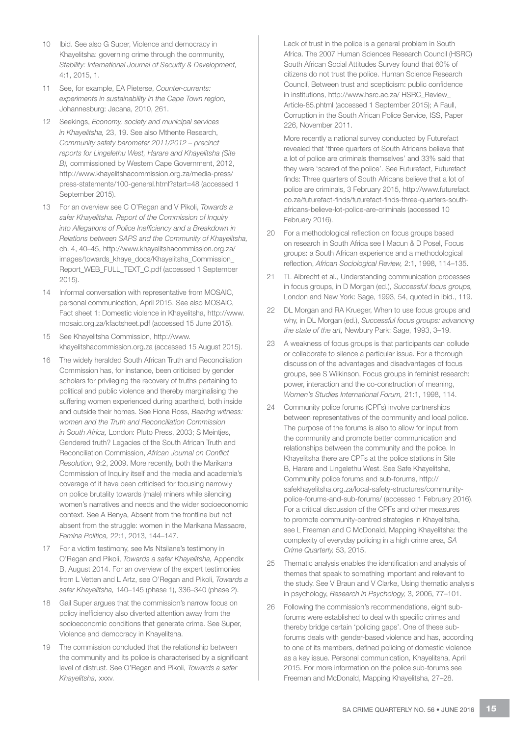- 10 Ibid. See also G Super, Violence and democracy in Khayelitsha: governing crime through the community, *Stability: International Journal of Security & Development,*  4:1, 2015, 1.
- 11 See, for example, EA Pieterse, *Counter-currents: experiments in sustainability in the Cape Town region,*  Johannesburg: Jacana, 2010, 261.
- 12 Seekings, *Economy, society and municipal services in Khayelitsha,* 23, 19. See also Mthente Research, *Community safety barometer 2011/2012 – precinct reports for Lingelethu West, Harare and Khayelitsha (Site B),* commissioned by Western Cape Government, 2012, http://www.khayelitshacommission.org.za/media-press/ press-statements/100-general.html?start=48 (accessed 1 September 2015).
- 13 For an overview see C O'Regan and V Pikoli, *Towards a safer Khayelitsha. Report of the Commission of Inquiry into Allegations of Police Inefficiency and a Breakdown in Relations between SAPS and the Community of Khayelitsha,* ch. 4, 40–45, http://www.khayelitshacommission.org.za/ images/towards\_khaye\_docs/Khayelitsha\_Commission\_ Report\_WEB\_FULL\_TEXT\_C.pdf (accessed 1 September 2015).
- 14 Informal conversation with representative from MOSAIC, personal communication, April 2015. See also MOSAIC, Fact sheet 1: Domestic violence in Khayelitsha, http://www. mosaic.org.za/kfactsheet.pdf (accessed 15 June 2015).
- 15 See Khayelitsha Commission, http://www. khayelitshacommission.org.za (accessed 15 August 2015).
- 16 The widely heralded South African Truth and Reconciliation Commission has, for instance, been criticised by gender scholars for privileging the recovery of truths pertaining to political and public violence and thereby marginalising the suffering women experienced during apartheid, both inside and outside their homes. See Fiona Ross, *Bearing witness: women and the Truth and Reconciliation Commission in South Africa,* London: Pluto Press, 2003; S Meintjes, Gendered truth? Legacies of the South African Truth and Reconciliation Commission, *African Journal on Conflict Resolution,* 9:2, 2009. More recently, both the Marikana Commission of Inquiry itself and the media and academia's coverage of it have been criticised for focusing narrowly on police brutality towards (male) miners while silencing women's narratives and needs and the wider socioeconomic context. See A Benya, Absent from the frontline but not absent from the struggle: women in the Marikana Massacre, *Femina Politica,* 22:1, 2013, 144–147.
- 17 For a victim testimony, see Ms Ntsilane's testimony in O'Regan and Pikoli, *Towards a safer Khayelitsha,* Appendix B, August 2014. For an overview of the expert testimonies from L Vetten and L Artz, see O'Regan and Pikoli, *Towards a safer Khayelitsha,* 140–145 (phase 1), 336–340 (phase 2).
- 18 Gail Super argues that the commission's narrow focus on policy inefficiency also diverted attention away from the socioeconomic conditions that generate crime. See Super, Violence and democracy in Khayelitsha.
- 19 The commission concluded that the relationship between the community and its police is characterised by a significant level of distrust. See O'Regan and Pikoli, *Towards a safer Khayelitsha,* xxxv.

Lack of trust in the police is a general problem in South Africa. The 2007 Human Sciences Research Council (HSRC) South African Social Attitudes Survey found that 60% of citizens do not trust the police. Human Science Research Council, Between trust and scepticism: public confidence in institutions, http://www.hsrc.ac.za/ HSRC\_Review\_ Article-85.phtml (accessed 1 September 2015); A Faull, Corruption in the South African Police Service, ISS, Paper 226, November 2011.

More recently a national survey conducted by Futurefact revealed that 'three quarters of South Africans believe that a lot of police are criminals themselves' and 33% said that they were 'scared of the police'. See Futurefact, Futurefact finds: Three quarters of South Africans believe that a lot of police are criminals, 3 February 2015, http://www.futurefact. co.za/futurefact-finds/futurefact-finds-three-quarters-southafricans-believe-lot-police-are-criminals (accessed 10 February 2016).

- 20 For a methodological reflection on focus groups based on research in South Africa see I Macun & D Posel, Focus groups: a South African experience and a methodological reflection, *African Sociological Review,* 2:1, 1998, 114–135.
- 21 TL Albrecht et al., Understanding communication processes in focus groups, in D Morgan (ed.), *Successful focus groups,*  London and New York: Sage, 1993, 54, quoted in ibid., 119.
- 22 DL Morgan and RA Krueger, When to use focus groups and why, in DL Morgan (ed.), *Successful focus groups: advancing the state of the art,* Newbury Park: Sage, 1993, 3–19.
- 23 A weakness of focus groups is that participants can collude or collaborate to silence a particular issue. For a thorough discussion of the advantages and disadvantages of focus groups, see S Wilkinson, Focus groups in feminist research: power, interaction and the co-construction of meaning, *Women's Studies International Forum,* 21:1, 1998, 114.
- 24 Community police forums (CPFs) involve partnerships between representatives of the community and local police. The purpose of the forums is also to allow for input from the community and promote better communication and relationships between the community and the police. In Khayelitsha there are CPFs at the police stations in Site B, Harare and Lingelethu West. See Safe Khayelitsha, Community police forums and sub-forums, http:// safekhayelitsha.org.za/local-safety-structures/communitypolice-forums-and-sub-forums/ (accessed 1 February 2016). For a critical discussion of the CPFs and other measures to promote community-centred strategies in Khayelitsha, see L Freeman and C McDonald, Mapping Khayelitsha: the complexity of everyday policing in a high crime area, *SA Crime Quarterly,* 53, 2015.
- 25 Thematic analysis enables the identification and analysis of themes that speak to something important and relevant to the study. See V Braun and V Clarke, Using thematic analysis in psychology, *Research in Psychology,* 3, 2006, 77–101.
- 26 Following the commission's recommendations, eight subforums were established to deal with specific crimes and thereby bridge certain 'policing gaps'. One of these subforums deals with gender-based violence and has, according to one of its members, defined policing of domestic violence as a key issue. Personal communication, Khayelitsha, April 2015. For more information on the police sub-forums see Freeman and McDonald, Mapping Khayelitsha, 27–28.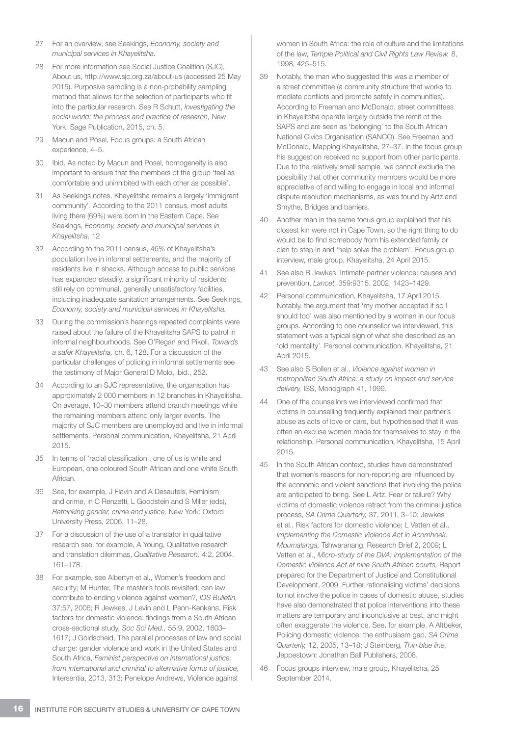- 27 For an overview, see Seekings, *Economy, society and municipal services in Khayelitsha.*
- 28 For more information see Social Justice Coalition (SJC), About us, http://www.sjc.org.za/about-us (accessed 25 May 2015). Purposive sampling is a non-probability sampling method that allows for the selection of participants who fit into the particular research. See R Schutt, *Investigating the social world: the process and practice of research,* New York: Sage Publication, 2015, ch. 5.
- 29 Macun and Posel, Focus groups: a South African experience, 4–5.
- 30 Ibid. As noted by Macun and Posel, homogeneity is also important to ensure that the members of the group 'feel as comfortable and uninhibited with each other as possible'.
- 31 As Seekings notes, Khayelitsha remains a largely 'immigrant community'. According to the 2011 census, most adults living there (69%) were born in the Eastern Cape. See Seekings, *Economy, society and municipal services in Khayelitsha,* 12.
- 32 According to the 2011 census, 46% of Khayelitsha's population live in informal settlements, and the majority of residents live in shacks. Although access to public services has expanded steadily, a significant minority of residents still rely on communal, generally unsatisfactory facilities, including inadequate sanitation arrangements. See Seekings, *Economy, society and municipal services in Khayelitsha.*
- 33 During the commission's hearings repeated complaints were raised about the failure of the Khayelitsha SAPS to patrol in informal neighbourhoods. See O'Regan and Pikoli, *Towards a safer Khayelitsha,* ch. 6, 128. For a discussion of the particular challenges of policing in informal settlements see the testimony of Major General D Molo, ibid., 252.
- 34 According to an SJC representative, the organisation has approximately 2 000 members in 12 branches in Khayelitsha. On average, 10–30 members attend branch meetings while the remaining members attend only larger events. The majority of SJC members are unemployed and live in informal settlements. Personal communication, Khayelitsha, 21 April 2015.
- 35 In terms of 'racial classification', one of us is white and European, one coloured South African and one white South African.
- 36 See, for example, J Flavin and A Desautels, Feminism and crime, in C Renzetti, L Goodstein and S Miller (eds), *Rethinking gender, crime and justice,* New York: Oxford University Press, 2006, 11–28.
- 37 For a discussion of the use of a translator in qualitative research see, for example, A Young, Qualitative research and translation dilemmas, *Qualitative Research,* 4:2, 2004, 161–178.
- 38 For example, see Albertyn et al., Women's freedom and security; M Hunter, The master's tools revisited: can law contribute to ending violence against women?, *IDS Bulletin,*  37:57, 2006; R Jewkes, J Levin and L Penn-Kenkana, Risk factors for domestic violence: findings from a South African cross-sectional study, *Soc Sci Med.,* 55:9, 2002, 1603– 1617; J Goldscheid, The parallel processes of law and social change: gender violence and work in the United States and South Africa, *Feminist perspective on international justice: from international and criminal to alternative forms of justice,*  Intersentia, 2013, 313; Penelope Andrews, Violence against

women in South Africa: the role of culture and the limitations of the law, *Temple Political and Civil Rights Law Review,* 8, 1998, 425–515.

- 39 Notably, the man who suggested this was a member of a street committee (a community structure that works to mediate conflicts and promote safety in communities). According to Freeman and McDonald, street committees in Khayelitsha operate largely outside the remit of the SAPS and are seen as 'belonging' to the South African National Civics Organisation (SANCO). See Freeman and McDonald, Mapping Khayelitsha, 27–37. In the focus group his suggestion received no support from other participants. Due to the relatively small sample, we cannot exclude the possibility that other community members would be more appreciative of and willing to engage in local and informal dispute resolution mechanisms, as was found by Artz and Smythe, Bridges and barriers.
- 40 Another man in the same focus group explained that his closest kin were not in Cape Town, so the right thing to do would be to find somebody from his extended family or clan to step in and 'help solve the problem'. Focus group interview, male group, Khayelitsha, 24 April 2015.
- 41 See also R Jewkes, Intimate partner violence: causes and prevention, *Lancet,* 359:9315, 2002, 1423–1429.
- 42 Personal communication, Khayelitsha, 17 April 2015. Notably, the argument that 'my mother accepted it so I should too' was also mentioned by a woman in our focus groups. According to one counsellor we interviewed, this statement was a typical sign of what she described as an 'old mentality'. Personal communication, Khayelitsha, 21 April 2015.
- 43 See also S Bollen et al., *Violence against women in metropolitan South Africa: a study on impact and service delivery,* ISS, Monograph 41, 1999.
- 44 One of the counsellors we interviewed confirmed that victims in counselling frequently explained their partner's abuse as acts of love or care, but hypothesised that it was often an excuse women made for themselves to stay in the relationship. Personal communication, Khayelitsha, 15 April 2015.
- 45 In the South African context, studies have demonstrated that women's reasons for non-reporting are influenced by the economic and violent sanctions that involving the police are anticipated to bring. See L Artz, Fear or failure? Why victims of domestic violence retract from the criminal justice process, *SA Crime Quarterly,* 37, 2011, 3–10; Jewkes et al., Risk factors for domestic violence; L Vetten et al., *Implementing the Domestic Violence Act in Acornhoek, Mpumalanga,* Tshwaranang, Research Brief 2, 2009; L Vetten et al., *Micro-study of the DVA: implementation of the Domestic Violence Act at nine South African courts,* Report prepared for the Department of Justice and Constitutional Development, 2009. Further rationalising victims' decisions to not involve the police in cases of domestic abuse, studies have also demonstrated that police interventions into these matters are temporary and inconclusive at best, and might often exaggerate the violence. See, for example, A Altbeker, Policing domestic violence: the enthusiasm gap, *SA Crime Quarterly,* 12, 2005, 13–18; J Steinberg, *Thin blue line,*  Jeppestown: Jonathan Ball Publishers, 2008.
- 46 Focus groups interview, male group, Khayelitsha, 25 September 2014.